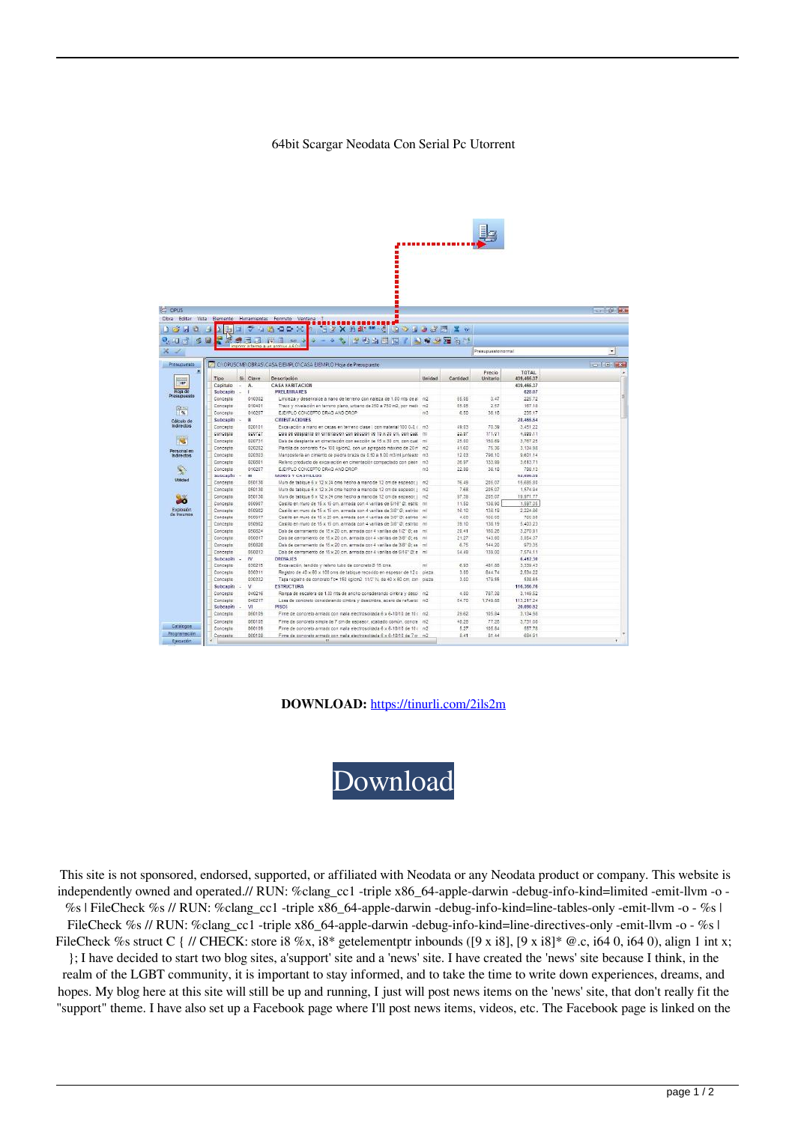## 64bit Scargar Neodata Con Serial Pc Utorrent

| <b>By CPUS</b><br>1340           |                       |           | Dbra Editar Wista Bremento Herramientas Formato Ventana 3<br>☆ 米 円 2> → 10 → 10 → 10 → 20 円 米 →<br>÷                                                      |                               |          |                    |                     | <b>Registration</b> |
|----------------------------------|-----------------------|-----------|-----------------------------------------------------------------------------------------------------------------------------------------------------------|-------------------------------|----------|--------------------|---------------------|---------------------|
| 0, 11, 3, 6                      | $\Box$                |           | <b>* 743887 NYSBRM</b><br>ide.                                                                                                                            |                               |          |                    |                     |                     |
| $x \geq$                         |                       |           | imprimir informa a un archivo ASCI                                                                                                                        | $\star$<br>Presupuesto normal |          |                    |                     |                     |
| Presupaesto                      |                       |           | CLORUSCMS OBRAS CASA EIEMPLOICASA EIEMPLO Hoja de Presiduesto                                                                                             |                               |          |                    |                     | <b>THE LETTER</b>   |
| <b>THP</b>                       | Tipo                  | Sir Clave | Descripción.                                                                                                                                              | Unidad                        | Cantidad | Precio<br>Unitario | TOTAL<br>459,466.37 |                     |
|                                  | Capitulo              | Ä.        | CASA HABITACION                                                                                                                                           |                               |          |                    | 439.466.37          |                     |
| Hoja de                          | Subcapito<br>Concepto | 010382    | PRELIMBARES.<br>Limpleza y desenraice a mano de terreno con maleza de 1.00 mts de al m2                                                                   |                               | 65.65    | 3.47               | 625.07<br>225.72    |                     |
|                                  | Concepto              | 010401    | Trazo y nivelación en terreno plano, urbano de 250 a 750 m2, por medi - m2                                                                                |                               | 85.65    | 2.57               | 157.15              |                     |
| $P_{\infty}$                     | Concepto              | 010207    | EJEMPLO CONCEPTO DRAG AND DROP                                                                                                                            | m3                            | 6.50     | 36.18              | 235.17              |                     |
|                                  | Subcapiti             | Œ.        | <b>CIMENTACIONES</b>                                                                                                                                      |                               |          |                    | 28,465.54           |                     |
| Cálculo de<br>Roirectos          | Concepto              | 020101    | Excavación a mano en cepas en terreno clase i, con material 100 0-0, ( - m3                                                                               |                               | 49.03    | 70.59              | 3.451.22            |                     |
|                                  | Concesto              | 920727    | Dala de despiente en gimentación con sección de 15 x 30 cm, con quat mi                                                                                   |                               | 23.57    | 171.91             | 4.099.11            |                     |
|                                  | Concepto              | 020731    | Dala de desplante en cimenteción con escolón de 15 x 30 cm, con qual                                                                                      |                               | 25.00    | 150.69             | 3.767.25            |                     |
|                                  | Concepto              | 020202    | Partilla de concreto fic= 100 kg/cm2, con un agregado máximo de 20 m m2                                                                                   |                               | 41,60    | 75.36              | 3.132.95            |                     |
| Personal en<br><b>Indirector</b> | Concepto              | 020303    | Mamposteria en cimiento de piedra braza de 6.50 a 1.00 m3/ml unteado                                                                                      | 003                           | 12.63    | 798.10             | 9,601.14            |                     |
|                                  | Concepto              | 020801    | Reliencionoducto de excavación en cinentación compactado con piede nt2                                                                                    |                               | 26.97    | 133.89             | 3,613.71            |                     |
|                                  | Cuncepto              | 010217    | EJEVPLO CONCEPTO DRAG AND DROP                                                                                                                            | 0.3                           | 22.08    | 36.18              | 798.13              |                     |
|                                  | Subcapiti             | ш         | MURDS Y CASTILLOS                                                                                                                                         |                               |          |                    | 62,056.51           |                     |
| Utildad                          | Candecto              | 050130    | Muro de tabloue 6 x 12 x 24 cms hecho a mano de 12 cm de espesor, i                                                                                       | $-22$                         | 76.49    | 206.07             | 16,685.90           |                     |
|                                  | Cancepto              | 050130    | Muro de tabloue 6 x 12 x 24 cma hecho a mano de 12 cm de espesor, j                                                                                       | $-192$                        | 7.68     | 205.07             | 1,574.94            |                     |
|                                  | Concepto.             | 050130    | Maro de tetique 6 x 12 x 24 cms hecho a maro de 12 cm de espesor, i m2                                                                                    |                               | 87.38    | 205.07             | 19,971.77           |                     |
|                                  | Cancepto              | 050907    | Castilo en muro de 15 x 15 cm, armada pon 4 varillas de S/16" 21 estrio                                                                                   | m                             | 11.50    | 138.90             | 1,597.35            |                     |
| Exploator.                       | Concerto              | 050982    | Castile an muro de 15 x 15 cm, armada con 4 varillas de 3/8" G: estrito: mil                                                                              |                               | 18.10    | 138.19             | 2.224.88            |                     |
| de Insureos                      | Concepto              | 050917    | Castillo en muro de 15 x 20 cm, armada pon 4 varillas de 3/8"(2: estribo)                                                                                 |                               | 4,60     | 166.60             | 766.98              |                     |
|                                  | Concepto              | 050902    | Castillo en muro de 15 x 15 cm, armada con 4 varillas de 3/8"@; estribo                                                                                   |                               | 39.10    | 138.19             | 5.403.23            |                     |
|                                  | Cencezto              | 050824    | Dale de carramiento de 15 x 20 cm, armada con 4 natilas de 1/2" 6; es mil                                                                                 |                               | 20.41    | 150.20             | 3,270.91            |                     |
|                                  | Cancepto              | 050817    | Dala de cerramiento de 15 x 20 om, armada con 4 varillas de 3/8° 8', es mil                                                                               |                               | 21.27    | 143.60             | 3.054.37            |                     |
|                                  | Concepto              | 050830    | Dais de cerramento de 15 x 20 cm, armada con 4 vaniles de 3.8° 8: es-                                                                                     |                               | 8.75     | 144.20             | 679.95              |                     |
|                                  | Cancepto              | 050813    | Dala de cerramiento de 15 x 20 cm, armada con 4 vanilas de 6/16" (2: e mil                                                                                |                               | 54.49    | 138.00             | 7,574.11            |                     |
|                                  | Subcapitr             | w         | DRENAJES                                                                                                                                                  |                               |          |                    | 6,412.38            |                     |
|                                  | Concepto              | 020215    | Excavação, tendido y relieno tubo de concreto 2 15 cms.                                                                                                   |                               | 6.93     | 481.88             | 3.239.42            |                     |
|                                  |                       | 030311    |                                                                                                                                                           |                               |          | 844.74             |                     |                     |
|                                  | Concepto              | 030332    | Registro de 40 x 60 x 100 pris de tablose recepido en espesar de 12 o pieza<br>Tapa replaire de contrato fix= 150 kolon2 11/2"1L de 40 x 60 cm con pieza. |                               | 3.00     |                    | 2.534 22<br>692.66  |                     |
|                                  | Cancesto              |           |                                                                                                                                                           |                               | 3.60     | 179.55             |                     |                     |
|                                  | Subcapiti.            | v         | <b>ESTRUCTURA</b>                                                                                                                                         |                               |          |                    | 116.356.74          |                     |
|                                  | Concepto              | 040216    | Rampa de escalera de 1.00 ma de anono considerando cintra y desci m2                                                                                      |                               | 4.80     | 767.38             | 3.149.52            |                     |
|                                  | Concepto              | 040217    | Lasa de concreto considerando cintora y descimbra, acero de refuerzo m2.                                                                                  |                               | 84.70    | 1,749.65           | 113.217.24          |                     |
|                                  | Subcapitr             | VI.       | <b>PISDS</b>                                                                                                                                              |                               |          |                    | 20.090.92           |                     |
|                                  | Cancepto              | 050109    | Firme de concreto arriado con mala electrosoldada 6 x 6-10/13 de 10 c m2                                                                                  |                               | 29.62    | 105.84             | 3.134.96            |                     |
|                                  | Concepto              | 000105    | l'irrie de concreto simple de 7 cm de espesor, acabado común, concre ni2                                                                                  |                               | 48.28    | 77.28              | 3,731.08            |                     |
| Catalogne<br><b>Programmobin</b> | Concepto              | 050109    | Firme de ponoreto armado con mala electrosoldada 6 x 6.10/13 de 10 x m2                                                                                   |                               | 5.27     | 155.84             | 557.78              |                     |
|                                  | Concepto              | 080108    | Firme de concreto arriado con mala electronoidade 6 x 6-1011 de 7 c - m3                                                                                  |                               | 8.41     | 81.44              | 684.91              |                     |

**DOWNLOAD:** <https://tinurli.com/2ils2m>



 This site is not sponsored, endorsed, supported, or affiliated with Neodata or any Neodata product or company. This website is independently owned and operated.// RUN: %clang\_cc1 -triple x86\_64-apple-darwin -debug-info-kind=limited -emit-llvm -o - %s | FileCheck %s // RUN: %clang\_cc1 -triple x86\_64-apple-darwin -debug-info-kind=line-tables-only -emit-llvm -o - %s | FileCheck %s // RUN: %clang\_cc1 -triple x86\_64-apple-darwin -debug-info-kind=line-directives-only -emit-llvm -o - %s |

FileCheck %s struct C { // CHECK: store i8 %x, i8\* getelement ptr inbounds ([9 x i8], [9 x i8]\* @.c, i64 0, i64 0), align 1 int x; }; I have decided to start two blog sites, a'support' site and a 'news' site. I have created the 'news' site because I think, in the realm of the LGBT community, it is important to stay informed, and to take the time to write down experiences, dreams, and hopes. My blog here at this site will still be up and running, I just will post news items on the 'news' site, that don't really fit the "support" theme. I have also set up a Facebook page where I'll post news items, videos, etc. The Facebook page is linked on the